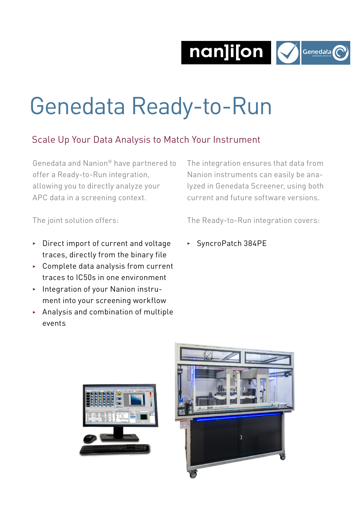nan]i[on Menedata



# Genedata Ready-to-Run

## Scale Up Your Data Analysis to Match Your Instrument

Genedata and Nanion® have partnered to offer a Ready-to-Run integration, allowing you to directly analyze your APC data in a screening context.

The integration ensures that data from Nanion instruments can easily be analyzed in Genedata Screener, using both current and future software versions.

The joint solution offers:

The Ready-to-Run integration covers:

- $\triangleright$  Direct import of current and voltage traces, directly from the binary file
- $\triangleright$  Complete data analysis from current traces to IC50s in one environment
- **> Integration of your Nanion instru**ment into your screening workflow
- $\blacktriangleright$  Analysis and combination of multiple events

<sup>3</sup> SyncroPatch 384PE